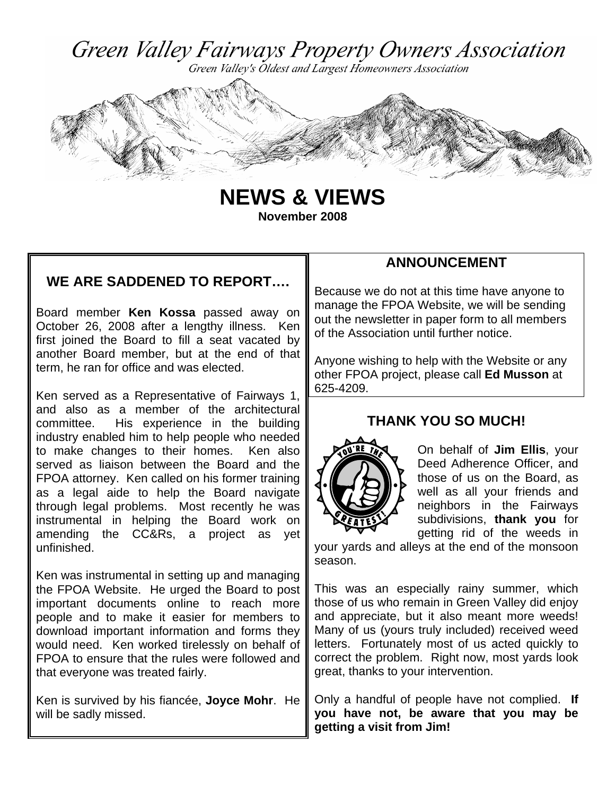

Green Valley's Oldest and Largest Homeowners Association



**NEWS & VIEWS November 2008** 

### **WE ARE SADDENED TO REPORT….**

Board member **Ken Kossa** passed away on October 26, 2008 after a lengthy illness. Ken first joined the Board to fill a seat vacated by another Board member, but at the end of that term, he ran for office and was elected.

Ken served as a Representative of Fairways 1, and also as a member of the architectural committee. His experience in the building industry enabled him to help people who needed to make changes to their homes. Ken also served as liaison between the Board and the FPOA attorney. Ken called on his former training as a legal aide to help the Board navigate through legal problems. Most recently he was instrumental in helping the Board work on amending the CC&Rs, a project as yet unfinished.

Ken was instrumental in setting up and managing the FPOA Website. He urged the Board to post important documents online to reach more people and to make it easier for members to download important information and forms they would need. Ken worked tirelessly on behalf of FPOA to ensure that the rules were followed and that everyone was treated fairly.

Ken is survived by his fiancée, **Joyce Mohr**. He will be sadly missed.

### **ANNOUNCEMENT**

Because we do not at this time have anyone to manage the FPOA Website, we will be sending out the newsletter in paper form to all members of the Association until further notice.

Anyone wishing to help with the Website or any other FPOA project, please call **Ed Musson** at 625-4209.

### **THANK YOU SO MUCH!**



On behalf of **Jim Ellis**, your Deed Adherence Officer, and those of us on the Board, as well as all your friends and neighbors in the Fairways subdivisions, **thank you** for getting rid of the weeds in

your yards and alleys at the end of the monsoon season.

This was an especially rainy summer, which those of us who remain in Green Valley did enjoy and appreciate, but it also meant more weeds! Many of us (yours truly included) received weed letters. Fortunately most of us acted quickly to correct the problem. Right now, most yards look great, thanks to your intervention.

Only a handful of people have not complied. **If you have not, be aware that you may be getting a visit from Jim!**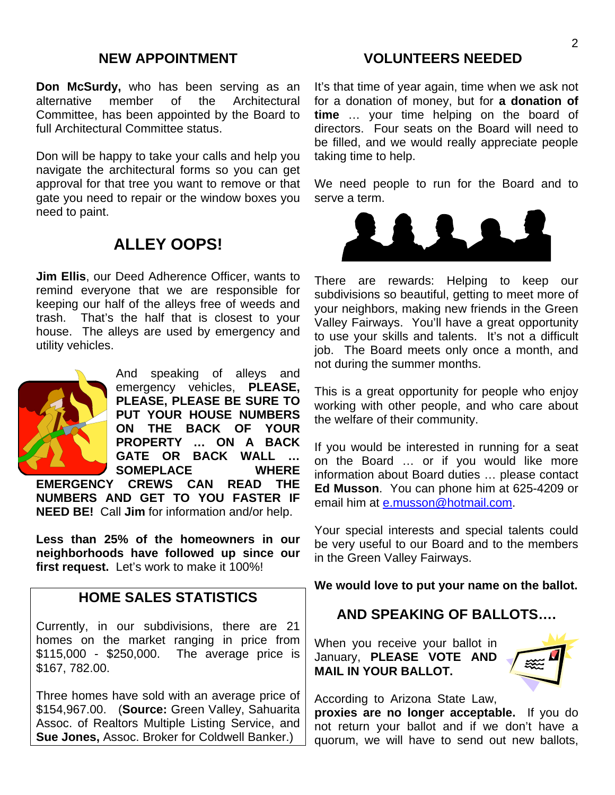#### **NEW APPOINTMENT**

**Don McSurdy,** who has been serving as an alternative member of the Architectural alternative member of the Architectural Committee, has been appointed by the Board to full Architectural Committee status.

Don will be happy to take your calls and help you navigate the architectural forms so you can get approval for that tree you want to remove or that gate you need to repair or the window boxes you need to paint.

## **ALLEY OOPS!**

**Jim Ellis**, our Deed Adherence Officer, wants to remind everyone that we are responsible for keeping our half of the alleys free of weeds and trash. That's the half that is closest to your house. The alleys are used by emergency and utility vehicles.



And speaking of alleys and emergency vehicles, **PLEASE, PLEASE, PLEASE BE SURE TO PUT YOUR HOUSE NUMBERS ON THE BACK OF YOUR PROPERTY … ON A BACK GATE OR BACK WALL … SOMEPLACE WHERE** 

**EMERGENCY CREWS CAN READ THE NUMBERS AND GET TO YOU FASTER IF NEED BE!** Call **Jim** for information and/or help.

**Less than 25% of the homeowners in our neighborhoods have followed up since our first request.** Let's work to make it 100%!

#### **HOME SALES STATISTICS**

Currently, in our subdivisions, there are 21 homes on the market ranging in price from \$115,000 - \$250,000. The average price is \$167, 782.00.

Three homes have sold with an average price of \$154,967.00. (**Source:** Green Valley, Sahuarita Assoc. of Realtors Multiple Listing Service, and **Sue Jones,** Assoc. Broker for Coldwell Banker.)

#### **VOLUNTEERS NEEDED**

It's that time of year again, time when we ask not for a donation of money, but for **a donation of time** … your time helping on the board of directors. Four seats on the Board will need to be filled, and we would really appreciate people taking time to help.

We need people to run for the Board and to serve a term.



There are rewards: Helping to keep our subdivisions so beautiful, getting to meet more of your neighbors, making new friends in the Green Valley Fairways. You'll have a great opportunity to use your skills and talents. It's not a difficult job. The Board meets only once a month, and not during the summer months.

This is a great opportunity for people who enjoy working with other people, and who care about the welfare of their community.

If you would be interested in running for a seat on the Board … or if you would like more information about Board duties … please contact **Ed Musson**. You can phone him at 625-4209 or email him at e.musson@hotmail.com.

Your special interests and special talents could be very useful to our Board and to the members in the Green Valley Fairways.

**We would love to put your name on the ballot.** 

#### **AND SPEAKING OF BALLOTS….**

When you receive your ballot in January, **PLEASE VOTE AND MAIL IN YOUR BALLOT.**



According to Arizona State Law,

**proxies are no longer acceptable.** If you do not return your ballot and if we don't have a quorum, we will have to send out new ballots,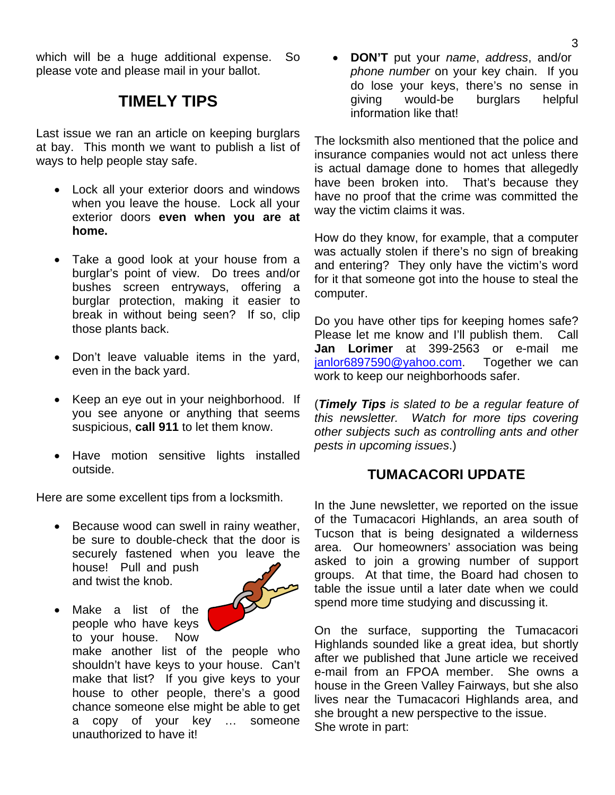which will be a huge additional expense. So please vote and please mail in your ballot.

### **TIMELY TIPS**

Last issue we ran an article on keeping burglars at bay. This month we want to publish a list of ways to help people stay safe.

- Lock all your exterior doors and windows when you leave the house. Lock all your exterior doors **even when you are at home.**
- Take a good look at your house from a burglar's point of view. Do trees and/or bushes screen entryways, offering a burglar protection, making it easier to break in without being seen? If so, clip those plants back.
- Don't leave valuable items in the yard, even in the back yard.
- Keep an eye out in your neighborhood. If you see anyone or anything that seems suspicious, **call 911** to let them know.
- Have motion sensitive lights installed outside.

Here are some excellent tips from a locksmith.

- Because wood can swell in rainy weather, be sure to double-check that the door is securely fastened when you leave the house! Pull and push and twist the knob.
- Make a list of the people who have keys to your house. Now



make another list of the people who shouldn't have keys to your house. Can't make that list? If you give keys to your house to other people, there's a good chance someone else might be able to get a copy of your key … someone unauthorized to have it!

• **DON'T** put your *name*, *address*, and/or *phone number* on your key chain. If you do lose your keys, there's no sense in giving would-be burglars helpful information like that!

The locksmith also mentioned that the police and insurance companies would not act unless there is actual damage done to homes that allegedly have been broken into. That's because they have no proof that the crime was committed the way the victim claims it was.

How do they know, for example, that a computer was actually stolen if there's no sign of breaking and entering? They only have the victim's word for it that someone got into the house to steal the computer.

Do you have other tips for keeping homes safe? Please let me know and I'll publish them. Call **Jan Lorimer** at 399-2563 or e-mail me janlor6897590@yahoo.com. Together we can work to keep our neighborhoods safer.

(*Timely Tips is slated to be a regular feature of this newsletter. Watch for more tips covering other subjects such as controlling ants and other pests in upcoming issues*.)

### **TUMACACORI UPDATE**

In the June newsletter, we reported on the issue of the Tumacacori Highlands, an area south of Tucson that is being designated a wilderness area. Our homeowners' association was being asked to join a growing number of support groups. At that time, the Board had chosen to table the issue until a later date when we could spend more time studying and discussing it.

On the surface, supporting the Tumacacori Highlands sounded like a great idea, but shortly after we published that June article we received e-mail from an FPOA member. She owns a house in the Green Valley Fairways, but she also lives near the Tumacacori Highlands area, and she brought a new perspective to the issue. She wrote in part: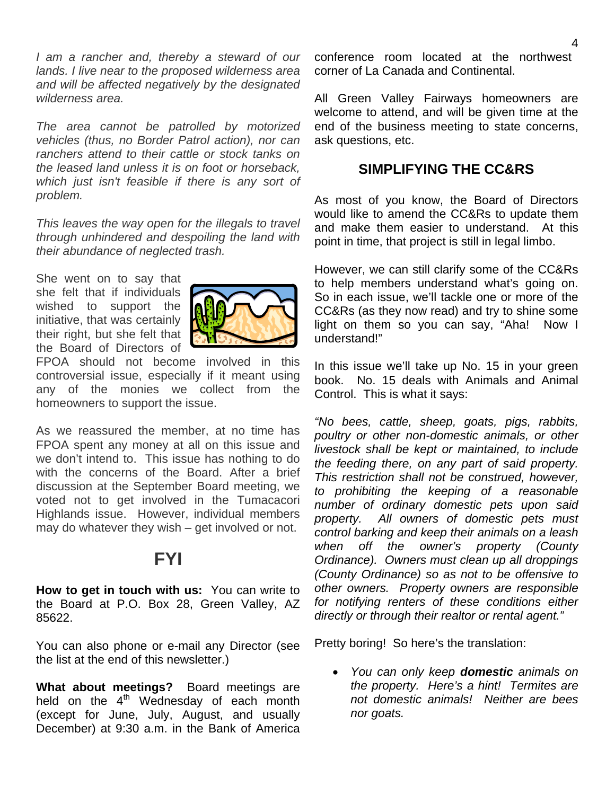*I am a rancher and, thereby a steward of our lands. I live near to the proposed wilderness area and will be affected negatively by the designated wilderness area.* 

*The area cannot be patrolled by motorized vehicles (thus, no Border Patrol action), nor can ranchers attend to their cattle or stock tanks on the leased land unless it is on foot or horseback, which just isn't feasible if there is any sort of problem.* 

*This leaves the way open for the illegals to travel through unhindered and despoiling the land with their abundance of neglected trash.* 

She went on to say that she felt that if individuals wished to support the initiative, that was certainly their right, but she felt that the Board of Directors of



FPOA should not become involved in this controversial issue, especially if it meant using any of the monies we collect from the homeowners to support the issue.

As we reassured the member, at no time has FPOA spent any money at all on this issue and we don't intend to. This issue has nothing to do with the concerns of the Board. After a brief discussion at the September Board meeting, we voted not to get involved in the Tumacacori Highlands issue. However, individual members may do whatever they wish – get involved or not.

## **FYI**

**How to get in touch with us:** You can write to the Board at P.O. Box 28, Green Valley, AZ 85622.

You can also phone or e-mail any Director (see the list at the end of this newsletter.)

**What about meetings?** Board meetings are held on the  $4<sup>th</sup>$  Wednesday of each month (except for June, July, August, and usually December) at 9:30 a.m. in the Bank of America

conference room located at the northwest corner of La Canada and Continental.

All Green Valley Fairways homeowners are welcome to attend, and will be given time at the end of the business meeting to state concerns, ask questions, etc.

#### **SIMPLIFYING THE CC&RS**

As most of you know, the Board of Directors would like to amend the CC&Rs to update them and make them easier to understand. At this point in time, that project is still in legal limbo.

However, we can still clarify some of the CC&Rs to help members understand what's going on. So in each issue, we'll tackle one or more of the CC&Rs (as they now read) and try to shine some light on them so you can say, "Aha! Now I understand!"

In this issue we'll take up No. 15 in your green book. No. 15 deals with Animals and Animal Control. This is what it says:

*"No bees, cattle, sheep, goats, pigs, rabbits, poultry or other non-domestic animals, or other livestock shall be kept or maintained, to include the feeding there, on any part of said property. This restriction shall not be construed, however, to prohibiting the keeping of a reasonable number of ordinary domestic pets upon said property. All owners of domestic pets must control barking and keep their animals on a leash when off the owner's property (County Ordinance). Owners must clean up all droppings (County Ordinance) so as not to be offensive to other owners. Property owners are responsible for notifying renters of these conditions either directly or through their realtor or rental agent."* 

Pretty boring! So here's the translation:

• *You can only keep domestic animals on the property. Here's a hint! Termites are not domestic animals! Neither are bees nor goats.*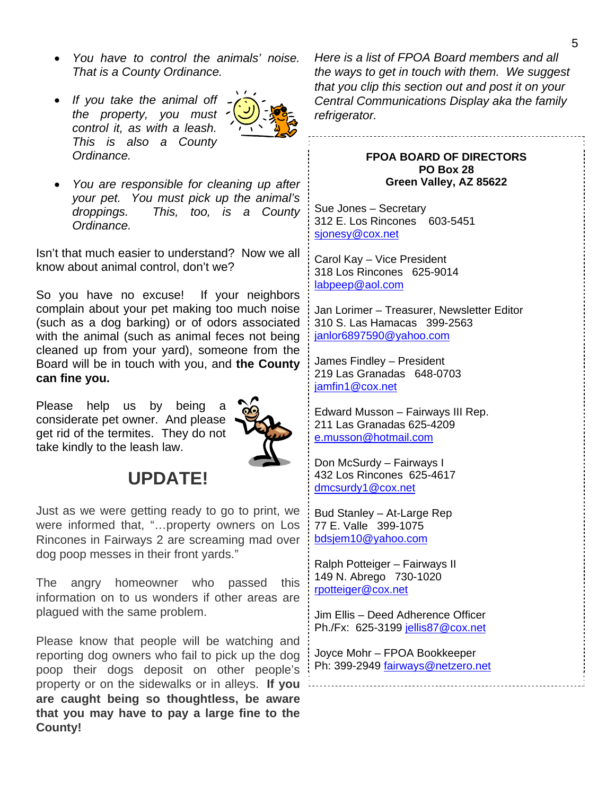- *You have to control the animals' noise. That is a County Ordinance.*
- *If you take the animal off the property, you must control it, as with a leash. This is also a County Ordinance.*



• *You are responsible for cleaning up after your pet. You must pick up the animal's droppings. This, too, is a County Ordinance.* 

Isn't that much easier to understand? Now we all know about animal control, don't we?

So you have no excuse! If your neighbors complain about your pet making too much noise (such as a dog barking) or of odors associated with the animal (such as animal feces not being cleaned up from your yard), someone from the Board will be in touch with you, and **the County can fine you.** 

Please help us by being a considerate pet owner. And please get rid of the termites. They do not take kindly to the leash law.



# **UPDATE!**

Just as we were getting ready to go to print, we were informed that, "…property owners on Los Rincones in Fairways 2 are screaming mad over dog poop messes in their front yards."

The angry homeowner who passed this information on to us wonders if other areas are plagued with the same problem.

Please know that people will be watching and reporting dog owners who fail to pick up the dog poop their dogs deposit on other people's property or on the sidewalks or in alleys. **If you are caught being so thoughtless, be aware that you may have to pay a large fine to the County!** 

*Here is a list of FPOA Board members and all the ways to get in touch with them. We suggest that you clip this section out and post it on your Central Communications Display aka the family refrigerator.* 

#### **FPOA BOARD OF DIRECTORS PO Box 28 Green Valley, AZ 85622**

Sue Jones – Secretary 312 E. Los Rincones 603-5451 sjonesy@cox.net

Carol Kay – Vice President 318 Los Rincones 625-9014 labpeep@aol.com

Jan Lorimer – Treasurer, Newsletter Editor 310 S. Las Hamacas 399-2563 janlor6897590@yahoo.com

James Findley – President 219 Las Granadas 648-0703 iamfin1@cox.net

Edward Musson – Fairways III Rep. 211 Las Granadas 625-4209 e.musson@hotmail.com

Don McSurdy – Fairways I 432 Los Rincones 625-4617 dmcsurdy1@cox.net

Bud Stanley – At-Large Rep 77 E. Valle 399-1075 bdsjem10@yahoo.com

Ralph Potteiger – Fairways II 149 N. Abrego 730-1020 rpotteiger@cox.net

Jim Ellis – Deed Adherence Officer Ph./Fx: 625-3199 jellis87@cox.net

Joyce Mohr – FPOA Bookkeeper Ph: 399-2949 fairways@netzero.net